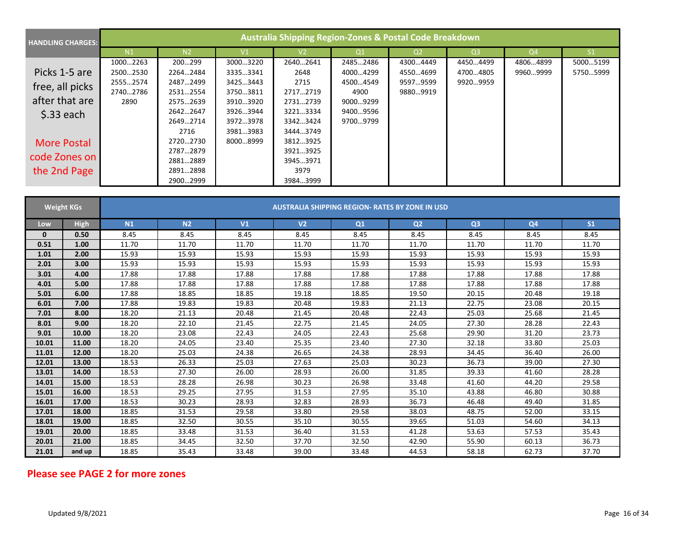| <b>HANDLING CHARGES:</b> | Australia Shipping Region-Zones & Postal Code Breakdown |                |               |                |                |                |                |          |          |  |  |
|--------------------------|---------------------------------------------------------|----------------|---------------|----------------|----------------|----------------|----------------|----------|----------|--|--|
|                          | N <sub>1</sub>                                          | N <sub>2</sub> | $\mathsf{V}1$ | V <sub>2</sub> | Q <sub>1</sub> | Q <sub>2</sub> | Q <sub>3</sub> | Q4       | S1       |  |  |
|                          | 10002263                                                | 200299         | 30003220      | 26402641       | 24852486       | 43004449       | 44504499       | 48064899 | 50005199 |  |  |
| Picks 1-5 are            | 25002530                                                | 22642484       | 33353341      | 2648           | 40004299       | 45504699       | 47004805       | 99609999 | 57505999 |  |  |
| free, all picks          | 25552574                                                | 24872499       | 34253443      | 2715           | 45004549       | 95979599       | 99209959       |          |          |  |  |
|                          | 27402786                                                | 25312554       | 37503811      | 27172719       | 4900           | 98809919       |                |          |          |  |  |
| after that are           | 2890                                                    | 25752639       | 39103920      | 27312739       | 90009299       |                |                |          |          |  |  |
| $$.33$ each              |                                                         | 26422647       | 39263944      | 32213334       | 94009596       |                |                |          |          |  |  |
|                          |                                                         | 26492714       | 39723978      | 33423424       | 97009799       |                |                |          |          |  |  |
|                          |                                                         | 2716           | 39813983      | 34443749       |                |                |                |          |          |  |  |
| <b>More Postal</b>       |                                                         | 27202730       | 80008999      | 38123925       |                |                |                |          |          |  |  |
|                          |                                                         | 27872879       |               | 39213925       |                |                |                |          |          |  |  |
| code Zones on            |                                                         | 28812889       |               | 39453971       |                |                |                |          |          |  |  |
| the 2nd Page             |                                                         | 28912898       |               | 3979           |                |                |                |          |          |  |  |
|                          |                                                         | 29002999       |               | 39843999       |                |                |                |          |          |  |  |

|       | <b>Weight KGs</b> | <b>AUSTRALIA SHIPPING REGION- RATES BY ZONE IN USD</b> |       |                |       |                |                |       |                |       |  |
|-------|-------------------|--------------------------------------------------------|-------|----------------|-------|----------------|----------------|-------|----------------|-------|--|
| Low   | <b>High</b>       | N1<br>N <sub>2</sub><br>V <sub>1</sub>                 |       | V <sub>2</sub> | Q1    | Q <sub>2</sub> | Q <sub>3</sub> |       | S <sub>1</sub> |       |  |
| 0     | 0.50              | 8.45                                                   | 8.45  | 8.45           | 8.45  | 8.45           | 8.45           | 8.45  | 8.45           | 8.45  |  |
| 0.51  | 1.00              | 11.70                                                  | 11.70 | 11.70          | 11.70 | 11.70          | 11.70          | 11.70 | 11.70          | 11.70 |  |
| 1.01  | 2.00              | 15.93                                                  | 15.93 | 15.93          | 15.93 | 15.93          | 15.93          | 15.93 | 15.93          | 15.93 |  |
| 2.01  | 3.00              | 15.93                                                  | 15.93 | 15.93          | 15.93 | 15.93          | 15.93          | 15.93 | 15.93          | 15.93 |  |
| 3.01  | 4.00              | 17.88                                                  | 17.88 | 17.88          | 17.88 | 17.88          | 17.88          | 17.88 | 17.88          | 17.88 |  |
| 4.01  | 5.00              | 17.88                                                  | 17.88 | 17.88          | 17.88 | 17.88          | 17.88          | 17.88 | 17.88          | 17.88 |  |
| 5.01  | 6.00              | 17.88                                                  | 18.85 | 18.85          | 19.18 | 18.85          | 19.50          | 20.15 | 20.48          | 19.18 |  |
| 6.01  | 7.00              | 17.88                                                  | 19.83 | 19.83          | 20.48 | 19.83          | 21.13          | 22.75 | 23.08          | 20.15 |  |
| 7.01  | 8.00              | 18.20                                                  | 21.13 | 20.48          | 21.45 | 20.48          | 22.43          | 25.03 | 25.68          | 21.45 |  |
| 8.01  | 9.00              | 18.20                                                  | 22.10 | 21.45          | 22.75 | 21.45          | 24.05          | 27.30 | 28.28          | 22.43 |  |
| 9.01  | 10.00             | 18.20                                                  | 23.08 | 22.43          | 24.05 | 22.43          | 25.68          | 29.90 | 31.20          | 23.73 |  |
| 10.01 | 11.00             | 18.20                                                  | 24.05 | 23.40          | 25.35 | 23.40          | 27.30          | 32.18 | 33.80          | 25.03 |  |
| 11.01 | 12.00             | 18.20                                                  | 25.03 | 24.38          | 26.65 | 24.38          | 28.93          | 34.45 | 36.40          | 26.00 |  |
| 12.01 | 13.00             | 18.53                                                  | 26.33 | 25.03          | 27.63 | 25.03          | 30.23          | 36.73 | 39.00          | 27.30 |  |
| 13.01 | 14.00             | 18.53                                                  | 27.30 | 26.00          | 28.93 | 26.00          | 31.85          | 39.33 | 41.60          | 28.28 |  |
| 14.01 | 15.00             | 18.53                                                  | 28.28 | 26.98          | 30.23 | 26.98          | 33.48          | 41.60 | 44.20          | 29.58 |  |
| 15.01 | 16.00             | 18.53                                                  | 29.25 | 27.95          | 31.53 | 27.95          | 35.10          | 43.88 | 46.80          | 30.88 |  |
| 16.01 | 17.00             | 18.53                                                  | 30.23 | 28.93          | 32.83 | 28.93          | 36.73          | 46.48 | 49.40          | 31.85 |  |
| 17.01 | 18.00             | 18.85                                                  | 31.53 | 29.58          | 33.80 | 29.58          | 38.03          | 48.75 | 52.00          | 33.15 |  |
| 18.01 | 19.00             | 18.85                                                  | 32.50 | 30.55          | 35.10 | 30.55          | 39.65          | 51.03 | 54.60          | 34.13 |  |
| 19.01 | 20.00             | 18.85                                                  | 33.48 | 31.53          | 36.40 | 31.53          | 41.28          | 53.63 | 57.53          | 35.43 |  |
| 20.01 | 21.00             | 18.85                                                  | 34.45 | 32.50          | 37.70 | 32.50          | 42.90          | 55.90 | 60.13          | 36.73 |  |
| 21.01 | and up            | 18.85                                                  | 35.43 | 33.48          | 39.00 | 33.48          | 44.53          | 58.18 | 62.73          | 37.70 |  |

## **Please see PAGE 2 for more zones**